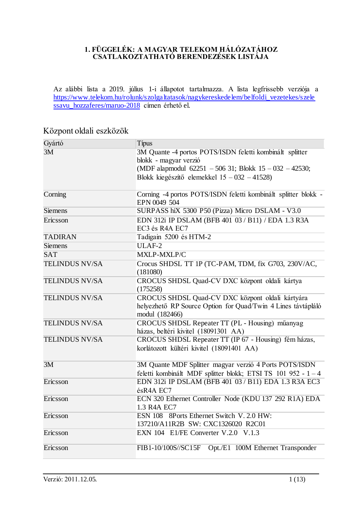#### **1. FÜGGELÉK: A MAGYAR TELEKOM HÁLÓZATÁHOZ CSATLAKOZTATHATÓ BERENDEZÉSEK LISTÁJA**

Az alábbi lista a 2019. július 1-i állapotot tartalmazza. A lista legfrissebb verziója a [https://www.telekom.hu/rolunk/szolgaltatasok/nagykereskedelem/belfoldi\\_vezetekes/szele](https://www.telekom.hu/rolunk/szolgaltatasok/nagykereskedelem/belfoldi_vezetekes/szelessavu_hozzaferes/maruo-2018) ssavu hozzaferes/maruo-2018 címen érhető el.

## Gyártó Típus 3M 3M Quante -4 portos POTS/ISDN feletti kombinált splitter blokk - magyar verzió (MDF alapmodul 62251 – 506 31; Blokk 15 – 032 – 42530; Blokk kiegészítő elemekkel 15 – 032 – 41528) Corning Corning -4 portos POTS/ISDN feletti kombinált splitter blokk - EPN 0049 504 Siemens SURPASS hiX 5300 P50 (Pizza) Micro DSLAM - V3.0 Ericsson EDN 312i IP DSLAM (BFB 401 03 / B11) / EDA 1.3 R3A EC3 és R4A EC7 TADIRAN Tadigain 5200 és HTM-2 Siemens ULAF-2 SAT MXLP-MXLP/C TELINDUS NV/SA Crocus SHDSL TT 1P (TC-PAM, TDM, fix G703, 230V/AC, (181080) TELINDUS NV/SA CROCUS SHDSL Quad-CV DXC központ oldali kártya (175258) TELINDUS NV/SA CROCUS SHDSL Quad-CV DXC központ oldali kártyára helyezhető RP Source Option for Quad/Twin 4 Lines távtápláló modul (182466) TELINDUS NV/SA CROCUS SHDSL Repeater TT (PL - Housing) műanyag házas, beltéri kivitel (18091301 AA) TELINDUS NV/SA CROCUS SHDSL Repeater TT (IP 67 - Housing) fém házas, korlátozott kültéri kivitel (18091401 AA) 3M 3M Quante MDF Splitter magyar verzió 4 Ports POTS/ISDN feletti kombinált MDF splitter blokk; ETSI TS 101 952 - 1 – 4 Ericsson EDN 312i IP DSLAM (BFB 401 03 / B11) EDA 1.3 R3A EC3 ésR4A EC7 Ericsson ECN 320 Ethernet Controller Node (KDU 137 292 R1A) EDA 1.3 R4A EC7 Ericsson ESN 108 8Ports Ethernet Switch V. 2.0 HW: 137210/A11R2B SW: CXC1326020 R2C01 Ericsson EXN 104 E1/FE Converter V.2.0 V.1.3 Ericsson FIB1-10/100S//SC15F Opt./E1 100M Ethernet Transponder

## Központ oldali eszközök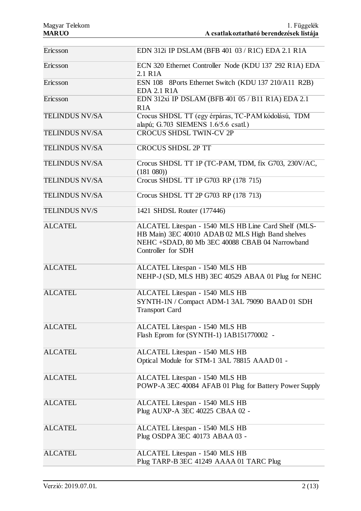| Ericsson              | EDN 312i IP DSLAM (BFB 401 03 / R1C) EDA 2.1 R1A                                                                                                                                 |
|-----------------------|----------------------------------------------------------------------------------------------------------------------------------------------------------------------------------|
| Ericsson              | ECN 320 Ethernet Controller Node (KDU 137 292 R1A) EDA<br>2.1 R <sub>1</sub> A                                                                                                   |
| Ericsson              | ESN 108 8Ports Ethernet Switch (KDU 137 210/A11 R2B)<br><b>EDA 2.1 R1A</b>                                                                                                       |
| Ericsson              | EDN 312xi IP DSLAM (BFB 401 05 / B11 R1A) EDA 2.1<br>R1A                                                                                                                         |
| <b>TELINDUS NV/SA</b> | Crocus SHDSL TT (egy érpáras, TC-PAM kódolású, TDM<br>alapú; G.703 SIEMENS 1.6/5.6 csatl.)                                                                                       |
| <b>TELINDUS NV/SA</b> | <b>CROCUS SHDSL TWIN-CV 2P</b>                                                                                                                                                   |
| <b>TELINDUS NV/SA</b> | <b>CROCUS SHDSL 2P TT</b>                                                                                                                                                        |
| <b>TELINDUS NV/SA</b> | Crocus SHDSL TT 1P (TC-PAM, TDM, fix G703, 230V/AC,<br>(181 080)                                                                                                                 |
| <b>TELINDUS NV/SA</b> | Crocus SHDSL TT 1P G703 RP (178 715)                                                                                                                                             |
| <b>TELINDUS NV/SA</b> | Crocus SHDSL TT 2P G703 RP (178 713)                                                                                                                                             |
| <b>TELINDUS NV/S</b>  | 1421 SHDSL Router (177446)                                                                                                                                                       |
| <b>ALCATEL</b>        | ALCATEL Litespan - 1540 MLS HB Line Card Shelf (MLS-<br>HB Main) 3EC 40010 ADAB 02 MLS High Band shelves<br>NEHC +SDAD, 80 Mb 3EC 40088 CBAB 04 Narrowband<br>Controller for SDH |
| <b>ALCATEL</b>        | ALCATEL Litespan - 1540 MLS HB<br>NEHP-J (SD, MLS HB) 3EC 40529 ABAA 01 Plug for NEHC                                                                                            |
| <b>ALCATEL</b>        | ALCATEL Litespan - 1540 MLS HB<br>SYNTH-1N / Compact ADM-1 3AL 79090 BAAD 01 SDH<br><b>Transport Card</b>                                                                        |
| <b>ALCATEL</b>        | ALCATEL Litespan - 1540 MLS HB<br>Flash Eprom for (SYNTH-1) 1AB151770002 -                                                                                                       |
| <b>ALCATEL</b>        | ALCATEL Litespan - 1540 MLS HB<br>Optical Module for STM-1 3AL 78815 AAAD 01 -                                                                                                   |
| <b>ALCATEL</b>        | ALCATEL Litespan - 1540 MLS HB<br>POWP-A 3EC 40084 AFAB 01 Plug for Battery Power Supply                                                                                         |
| <b>ALCATEL</b>        | ALCATEL Litespan - 1540 MLS HB<br>Plug AUXP-A 3EC 40225 CBAA 02 -                                                                                                                |
| <b>ALCATEL</b>        | ALCATEL Litespan - 1540 MLS HB<br>Plug OSDPA 3EC 40173 ABAA 03 -                                                                                                                 |
| <b>ALCATEL</b>        | ALCATEL Litespan - 1540 MLS HB<br>Plug TARP-B 3EC 41249 AAAA 01 TARC Plug                                                                                                        |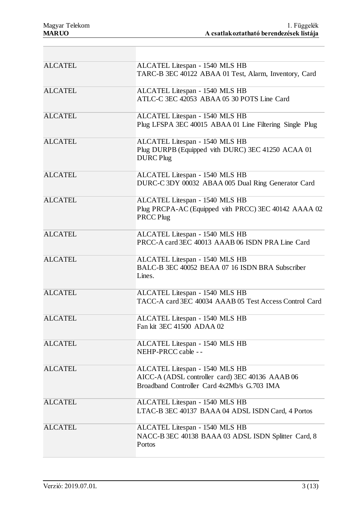| <b>ALCATEL</b> | ALCATEL Litespan - 1540 MLS HB<br>TARC-B 3EC 40122 ABAA 01 Test, Alarm, Inventory, Card                                          |
|----------------|----------------------------------------------------------------------------------------------------------------------------------|
| <b>ALCATEL</b> | ALCATEL Litespan - 1540 MLS HB<br>ATLC-C 3EC 42053 ABAA 05 30 POTS Line Card                                                     |
| <b>ALCATEL</b> | ALCATEL Litespan - 1540 MLS HB<br>Plug LFSPA 3EC 40015 ABAA 01 Line Filtering Single Plug                                        |
| <b>ALCATEL</b> | ALCATEL Litespan - 1540 MLS HB<br>Plug DURPB (Equipped vith DURC) 3EC 41250 ACAA 01<br><b>DURC</b> Plug                          |
| <b>ALCATEL</b> | ALCATEL Litespan - 1540 MLS HB<br>DURC-C 3DY 00032 ABAA 005 Dual Ring Generator Card                                             |
| <b>ALCATEL</b> | ALCATEL Litespan - 1540 MLS HB<br>Plug PRCPA-AC (Equipped vith PRCC) 3EC 40142 AAAA 02<br>PRCC Plug                              |
| <b>ALCATEL</b> | ALCATEL Litespan - 1540 MLS HB<br>PRCC-A card 3EC 40013 AAAB 06 ISDN PRA Line Card                                               |
| <b>ALCATEL</b> | ALCATEL Litespan - 1540 MLS HB<br>BALC-B 3EC 40052 BEAA 07 16 ISDN BRA Subscriber<br>Lines.                                      |
| <b>ALCATEL</b> | ALCATEL Litespan - 1540 MLS HB<br>TACC-A card 3EC 40034 AAAB 05 Test Access Control Card                                         |
| <b>ALCATEL</b> | ALCATEL Litespan - 1540 MLS HB<br>Fan kit 3EC 41500 ADAA 02                                                                      |
| <b>ALCATEL</b> | ALCATEL Litespan - 1540 MLS HB<br>NEHP-PRCC cable --                                                                             |
| <b>ALCATEL</b> | ALCATEL Litespan - 1540 MLS HB<br>AICC-A (ADSL controller card) 3EC 40136 AAAB 06<br>Broadband Controller Card 4x2Mb/s G.703 IMA |
| <b>ALCATEL</b> | ALCATEL Litespan - 1540 MLS HB<br>LTAC-B 3EC 40137 BAAA 04 ADSL ISDN Card, 4 Portos                                              |
| <b>ALCATEL</b> | ALCATEL Litespan - 1540 MLS HB<br>NACC-B 3EC 40138 BAAA 03 ADSL ISDN Splitter Card, 8<br>Portos                                  |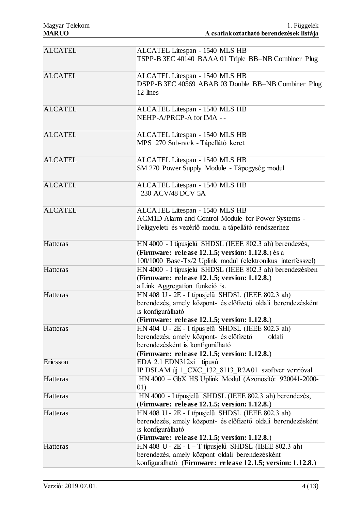| <b>ALCATEL</b> | ALCATEL Litespan - 1540 MLS HB<br>TSPP-B 3EC 40140 BAAA 01 Triple BB-NB Combiner Plug                                                                                                      |
|----------------|--------------------------------------------------------------------------------------------------------------------------------------------------------------------------------------------|
| <b>ALCATEL</b> | ALCATEL Litespan - 1540 MLS HB<br>DSPP-B 3EC 40569 ABAB 03 Double BB-NB Combiner Plug<br>12 lines                                                                                          |
| <b>ALCATEL</b> | ALCATEL Litespan - 1540 MLS HB<br>NEHP-A/PRCP-A for IMA --                                                                                                                                 |
| <b>ALCATEL</b> | ALCATEL Litespan - 1540 MLS HB<br>MPS 270 Sub-rack - Tápellátó keret                                                                                                                       |
| <b>ALCATEL</b> | ALCATEL Litespan - 1540 MLS HB<br>SM 270 Power Supply Module - Tápegység modul                                                                                                             |
| <b>ALCATEL</b> | ALCATEL Litespan - 1540 MLS HB<br>230 ACV/48 DCV 5A                                                                                                                                        |
| <b>ALCATEL</b> | ALCATEL Litespan - 1540 MLS HB<br>ACM1D Alarm and Control Module for Power Systems -<br>Felügyeleti és vezérlő modul a tápellátó rendszerhez                                               |
| Hatteras       | HN 4000 - I típusjelű SHDSL (IEEE 802.3 ah) berendezés,<br>(Firmware: release 12.1.5; version: 1.12.8.) és a<br>100/1000 Base-Tx/2 Uplink modul (elektronikus interfésszel)                |
| Hatteras       | HN 4000 - I típusjelű SHDSL (IEEE 802.3 ah) berendezésben<br>(Firmware: release 12.1.5; version: 1.12.8.)<br>a Link Aggregation funkció is.                                                |
| Hatteras       | HN 408 U - 2E - I típusjelű SHDSL (IEEE 802.3 ah)<br>berendezés, amely központ- és előfizető oldali berendezésként<br>is konfigurálható<br>(Firmware: release 12.1.5; version: 1.12.8.)    |
| Hatteras       | HN 404 U - 2E - I típusjelű SHDSL (IEEE 802.3 ah)<br>berendezés, amely központ- és előfizető<br>oldali<br>berendezésként is konfigurálható<br>(Firmware: release 12.1.5; version: 1.12.8.) |
| Ericsson       | EDA 2.1 EDN312xi típusú<br>IP DSLAM új 1_CXC_132_8113_R2A01 szoftver verzióval                                                                                                             |
| Hatteras       | HN 4000 - GbX HS Uplink Modul (Azonosító: 920041-2000-<br>01)                                                                                                                              |
| Hatteras       | HN 4000 - I típusjelű SHDSL (IEEE 802.3 ah) berendezés,<br>(Firmware: release 12.1.5; version: 1.12.8.)                                                                                    |
| Hatteras       | HN 408 U - 2E - I típusjelű SHDSL (IEEE 802.3 ah)<br>berendezés, amely központ- és előfizető oldali berendezésként<br>is konfigurálható<br>(Firmware: release 12.1.5; version: 1.12.8.)    |
| Hatteras       | HN 408 U - $2E - I - T$ típusjelű SHDSL (IEEE 802.3 ah)<br>berendezés, amely központ oldali berendezésként<br>konfigurálható (Firmware: release 12.1.5; version: 1.12.8.)                  |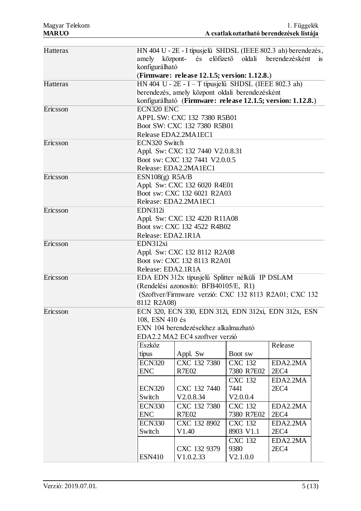| Hatteras |                                                                                                                                 |                                                             |                |                  |  |
|----------|---------------------------------------------------------------------------------------------------------------------------------|-------------------------------------------------------------|----------------|------------------|--|
|          | HN 404 U - 2E - I típusjelű SHDSL (IEEE 802.3 ah) berendezés,<br>amely központ- és előfizető oldali berendezésként<br><b>1S</b> |                                                             |                |                  |  |
|          | konfigurálható                                                                                                                  |                                                             |                |                  |  |
|          |                                                                                                                                 | (Firmware: release 12.1.5; version: 1.12.8.)                |                |                  |  |
| Hatteras |                                                                                                                                 | HN 404 U - $2E - I - T$ típusjelű SHDSL (IEEE 802.3 ah)     |                |                  |  |
|          |                                                                                                                                 | berendezés, amely központ oldali berendezésként             |                |                  |  |
|          |                                                                                                                                 | konfigurálható (Firmware: release 12.1.5; version: 1.12.8.) |                |                  |  |
| Ericsson | <b>ECN320 ENC</b>                                                                                                               |                                                             |                |                  |  |
|          |                                                                                                                                 |                                                             |                |                  |  |
|          |                                                                                                                                 | APPL SW: CXC 132 7380 R5B01                                 |                |                  |  |
|          |                                                                                                                                 | Boot SW: CXC 132 7380 R5B01                                 |                |                  |  |
|          |                                                                                                                                 | Release EDA2.2MA1EC1                                        |                |                  |  |
| Ericsson | ECN320 Switch                                                                                                                   |                                                             |                |                  |  |
|          |                                                                                                                                 | Appl. Sw: CXC 132 7440 V2.0.8.31                            |                |                  |  |
|          |                                                                                                                                 | Boot sw: CXC 132 7441 V2.0.0.5                              |                |                  |  |
|          |                                                                                                                                 | Release: EDA2.2MA1EC1                                       |                |                  |  |
| Ericsson | ESN108(g) R5A/B                                                                                                                 |                                                             |                |                  |  |
|          |                                                                                                                                 | Appl. Sw: CXC 132 6020 R4E01                                |                |                  |  |
|          |                                                                                                                                 | Boot sw: CXC 132 6021 R2A03                                 |                |                  |  |
|          |                                                                                                                                 | Release: EDA2.2MA1EC1                                       |                |                  |  |
| Ericsson | EDN312i                                                                                                                         |                                                             |                |                  |  |
|          |                                                                                                                                 | Appl. Sw: CXC 132 4220 R11A08                               |                |                  |  |
|          |                                                                                                                                 | Boot sw: CXC 132 4522 R4B02                                 |                |                  |  |
|          | Release: EDA2.1R1A                                                                                                              |                                                             |                |                  |  |
| Ericsson | EDN312xi                                                                                                                        |                                                             |                |                  |  |
|          | Appl. Sw: CXC 132 8112 R2A08                                                                                                    |                                                             |                |                  |  |
|          |                                                                                                                                 | Boot sw: CXC 132 8113 R2A01                                 |                |                  |  |
|          | Release: EDA2.1R1A                                                                                                              |                                                             |                |                  |  |
| Ericsson | EDA EDN 312x típusjelű Splitter nélküli IP DSLAM                                                                                |                                                             |                |                  |  |
|          | (Rendelési azonosító: BFB40105/E, R1)<br>(Szoftver/Firmware verzió: CXC 132 8113 R2A01; CXC 132                                 |                                                             |                |                  |  |
|          |                                                                                                                                 |                                                             |                |                  |  |
|          | 8112 R2A08)                                                                                                                     |                                                             |                |                  |  |
| Ericsson |                                                                                                                                 | ECN 320, ECN 330, EDN 312i, EDN 312xi, EDN 312x, ESN        |                |                  |  |
|          | 108, ESN 410 és                                                                                                                 |                                                             |                |                  |  |
|          |                                                                                                                                 | EXN 104 berendezésekhez alkalmazható                        |                |                  |  |
|          |                                                                                                                                 | EDA2.2 MA2 EC4 szoftver verzió                              |                |                  |  |
|          | Eszköz                                                                                                                          |                                                             |                | Release          |  |
|          | típus                                                                                                                           | Appl. Sw                                                    | Boot sw        |                  |  |
|          | <b>ECN320</b>                                                                                                                   | CXC 132 7380                                                | <b>CXC 132</b> | EDA2.2MA         |  |
|          | <b>ENC</b>                                                                                                                      | <b>R7E02</b>                                                | 7380 R7E02     | 2EC4             |  |
|          |                                                                                                                                 |                                                             | <b>CXC 132</b> | EDA2.2MA         |  |
|          | <b>ECN320</b>                                                                                                                   | CXC 132 7440                                                | 7441           | 2EC4             |  |
|          | Switch                                                                                                                          | V2.0.8.34                                                   | V2.0.0.4       |                  |  |
|          | <b>ECN330</b>                                                                                                                   | CXC 132 7380                                                | <b>CXC 132</b> | EDA2.2MA         |  |
|          | <b>ENC</b>                                                                                                                      | <b>R7E02</b>                                                | 7380 R7E02     | 2EC4             |  |
|          | <b>ECN330</b>                                                                                                                   | CXC 132 8902                                                | <b>CXC 132</b> | EDA2.2MA         |  |
|          | Switch                                                                                                                          | V1.40                                                       | 8903 V1.1      | 2EC4             |  |
|          |                                                                                                                                 |                                                             | <b>CXC 132</b> | EDA2.2MA         |  |
|          |                                                                                                                                 | CXC 132 9379                                                | 9380           | 2EC <sub>4</sub> |  |
|          | <b>ESN410</b>                                                                                                                   | V1.0.2.33                                                   | V2.1.0.0       |                  |  |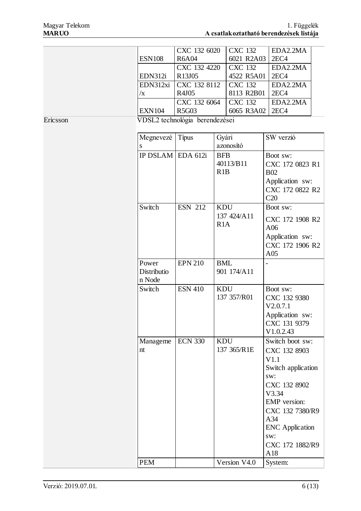|          |               | CXC 132 6020                   | <b>CXC 132</b>    | EDA2.2MA         |
|----------|---------------|--------------------------------|-------------------|------------------|
|          | <b>ESN108</b> | <b>R6A04</b>                   | 6021 R2A03        | 2EC <sub>4</sub> |
|          |               | CXC 132 4220                   | <b>CXC</b> 132    | EDA2.2MA         |
|          | EDN312i       | R <sub>13J05</sub>             | 4522 R5A01        | 2EC <sub>4</sub> |
|          |               | EDN312xi CXC 132 8112          | CXC 132           | EDA2.2MA         |
|          | /X            | R4J05                          | 8113 R2B01        | 2EC <sub>4</sub> |
|          |               | CXC 132 6064                   | <b>CXC 132</b>    | EDA2.2MA         |
|          | <b>EXN104</b> | <b>R5G03</b>                   | 6065 R3A02   2EC4 |                  |
| Ericsson |               | VDSL2 technológia berendezései |                   |                  |

| Megnevezé<br>S                 | Tipus          | Gyári<br>azonosító               | SW verzió                                                                                                                                                                                                 |
|--------------------------------|----------------|----------------------------------|-----------------------------------------------------------------------------------------------------------------------------------------------------------------------------------------------------------|
| IP DSLAM EDA 612i              |                | <b>BFB</b><br>40113/B11<br>R1B   | Boot sw:<br>CXC 172 0823 R1<br><b>B02</b><br>Application sw:<br>CXC 172 0822 R2<br>C20                                                                                                                    |
| Switch                         | <b>ESN 212</b> | <b>KDU</b><br>137 424/A11<br>R1A | Boot sw:<br>CXC 172 1908 R2<br>A06<br>Application sw:<br>CXC 172 1906 R2<br>A05                                                                                                                           |
| Power<br>Distributio<br>n Node | <b>EPN 210</b> | <b>BML</b><br>901 174/A11        |                                                                                                                                                                                                           |
| Switch                         | <b>ESN 410</b> | <b>KDU</b><br>137 357/R01        | Boot sw:<br>CXC 132 9380<br>V2.0.7.1<br>Application sw:<br>CXC 131 9379<br>V1.0.2.43                                                                                                                      |
| Manageme<br>nt                 | <b>ECN 330</b> | <b>KDU</b><br>137 365/R1E        | Switch boot sw:<br>CXC 132 8903<br>V1.1<br>Switch application<br>sw:<br>CXC 132 8902<br>V3.34<br><b>EMP</b> version:<br>CXC 132 7380/R9<br>A34<br><b>ENC</b> Application<br>sw:<br>CXC 172 1882/R9<br>A18 |
| <b>PEM</b>                     |                | Version V4.0                     | System:                                                                                                                                                                                                   |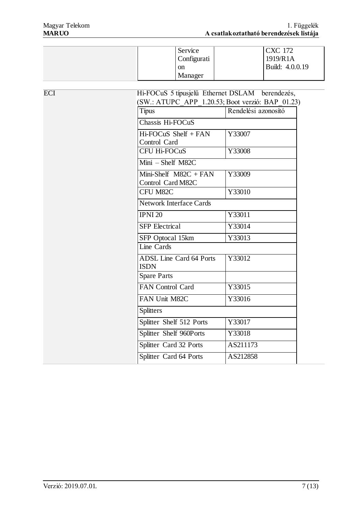| Service<br>Configurati   | <b>CXC 172</b><br>1919/R1A |
|--------------------------|----------------------------|
| <sub>on</sub><br>Manager | Build: 4.0.0.19            |

| <b>ECI</b> | Hi-FOCuS 5 típusjelű Ethernet DSLAM berendezés,<br>(SW.: ATUPC APP 1.20.53; Boot verzió: BAP 01.23) |                     |  |  |
|------------|-----------------------------------------------------------------------------------------------------|---------------------|--|--|
|            | Típus                                                                                               | Rendelési azonosító |  |  |
|            | Chassis Hi-FOCuS                                                                                    |                     |  |  |
|            | Hi-FOCuS Shelf + FAN<br>Control Card                                                                | Y33007              |  |  |
|            | <b>CFU Hi-FOCuS</b>                                                                                 | Y33008              |  |  |
|            | $Mini - Sheff M82C$                                                                                 |                     |  |  |
|            | Mini-Shelf $M82C + FAN$<br>Control Card M82C                                                        | Y33009              |  |  |
|            | CFU M82C                                                                                            | Y33010              |  |  |
|            | <b>Network Interface Cards</b>                                                                      |                     |  |  |
|            | <b>IPNI 20</b>                                                                                      | Y33011              |  |  |
|            | <b>SFP</b> Electrical                                                                               | Y33014              |  |  |
|            | SFP Optocal 15km                                                                                    | Y33013              |  |  |
|            | Line Cards                                                                                          |                     |  |  |
|            | <b>ADSL Line Card 64 Ports</b><br><b>ISDN</b>                                                       | Y33012              |  |  |
|            | <b>Spare Parts</b>                                                                                  |                     |  |  |
|            | <b>FAN Control Card</b>                                                                             | Y33015              |  |  |
|            | FAN Unit M82C                                                                                       | Y33016              |  |  |
|            | <b>Splitters</b>                                                                                    |                     |  |  |
|            | Splitter Shelf 512 Ports                                                                            | Y33017              |  |  |
|            | Splitter Shelf 960Ports                                                                             | Y33018              |  |  |
|            | Splitter Card 32 Ports                                                                              | AS211173            |  |  |
|            | Splitter Card 64 Ports                                                                              | AS212858            |  |  |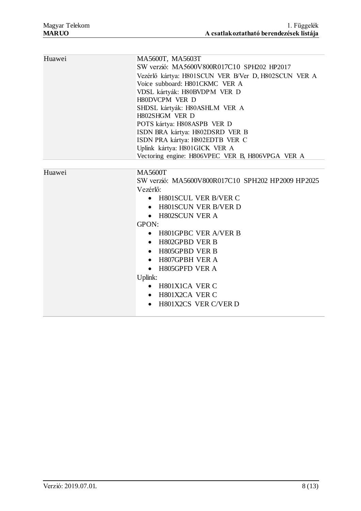| Huawei | MA5600T, MA5603T                                     |  |  |  |  |
|--------|------------------------------------------------------|--|--|--|--|
|        | SW verzió: MA5600V800R017C10 SPH202 HP2017           |  |  |  |  |
|        | Vezérlő kártya: H801SCUN VER B/Ver D, H802SCUN VER A |  |  |  |  |
|        | Voice subboard: H801CKMC VER A                       |  |  |  |  |
|        | VDSL kártyák: H80BVDPM VER D                         |  |  |  |  |
|        | H80DVCPM VER D                                       |  |  |  |  |
|        | SHDSL kártyák: H80ASHLM VER A                        |  |  |  |  |
|        | H802SHGM VER D                                       |  |  |  |  |
|        | POTS kártya: H808ASPB VER D                          |  |  |  |  |
|        | ISDN BRA kártya: H802DSRD VER B                      |  |  |  |  |
|        | ISDN PRA kártya: H802EDTB VER C                      |  |  |  |  |
|        | Uplink kártya: H801GICK VER A                        |  |  |  |  |
|        | Vectoring engine: H806VPEC_VER B, H806VPGA_VER A     |  |  |  |  |
|        |                                                      |  |  |  |  |
| Huawei | <b>MA5600T</b>                                       |  |  |  |  |
|        | SW verzió: MA5600V800R017C10 SPH202 HP2009 HP2025    |  |  |  |  |
|        | Vezérlő:                                             |  |  |  |  |
|        | H801SCUL VER B/VER C<br>$\bullet$                    |  |  |  |  |
|        | <b>H801SCUN VER B/VER D</b><br>$\bullet$             |  |  |  |  |
|        | <b>H802SCUN VER A</b><br>$\bullet$                   |  |  |  |  |
|        | GPON:                                                |  |  |  |  |
|        | H801GPBC VER A/VER B<br>$\bullet$                    |  |  |  |  |
|        | H802GPBD VER B<br>$\bullet$                          |  |  |  |  |
|        | H805GPBD VER B<br>$\bullet$                          |  |  |  |  |
|        | H807GPBH VER A<br>$\bullet$                          |  |  |  |  |
|        | H805GPFD VER A<br>$\bullet$                          |  |  |  |  |
|        | Uplink:                                              |  |  |  |  |
|        | H801X1CA VER C<br>$\bullet$                          |  |  |  |  |
|        | H801X2CA VER C                                       |  |  |  |  |
|        | H801X2CS VER C/VER D<br>$\bullet$                    |  |  |  |  |
|        |                                                      |  |  |  |  |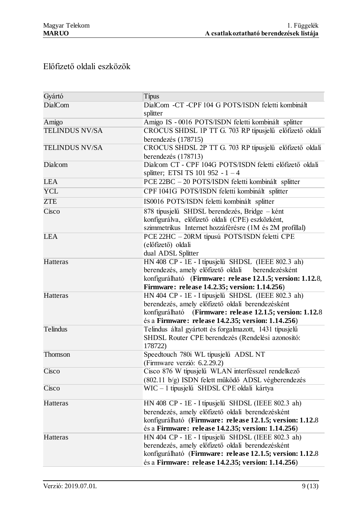# Előfizető oldali eszközök

| Gyártó                | Típus                                                               |
|-----------------------|---------------------------------------------------------------------|
| <b>DialCom</b>        | DialCom -CT -CPF 104 G POTS/ISDN feletti kombinált                  |
|                       | splitter                                                            |
| Amigo                 | Amigo IS - 0016 POTS/ISDN feletti kombinált splitter                |
| <b>TELINDUS NV/SA</b> | CROCUS SHDSL 1P TT G. 703 RP típusjelű előfizető oldali             |
|                       | berendezés (178715)                                                 |
| <b>TELINDUS NV/SA</b> | CROCUS SHDSL 2P TT G. 703 RP típusjelű előfizető oldali             |
|                       | berendezés (178713)                                                 |
| Dialcom               | Dialcom CT - CPF 104G POTS/ISDN feletti előfizető oldali            |
|                       | splitter; ETSI TS 101 952 - $1 - 4$                                 |
| <b>LEA</b>            | PCE 22BC - 20 POTS/ISDN feletti kombinált splitter                  |
| <b>YCL</b>            | CPF 1041G POTS/ISDN feletti kombinált splitter                      |
| <b>ZTE</b>            | IS0016 POTS/ISDN feletti kombinált splitter                         |
| Cisco                 | 878 típusjelű SHDSL berendezés, Bridge – ként                       |
|                       | konfigurálva, előfizető oldali (CPE) eszközként,                    |
|                       | szimmetrikus Internet hozzáférésre (1M és 2M profillal)             |
| <b>LEA</b>            | PCE 22HC - 20RM típusú POTS/ISDN feletti CPE                        |
|                       | (előfizető) oldali                                                  |
|                       | dual ADSL Splitter                                                  |
| Hatteras              | HN 408 CP - 1E - I típusjelű SHDSL (IEEE 802.3 ah)                  |
|                       | berendezés, amely előfizető oldali<br>berendezésként                |
|                       | konfigurálható (Firmware: release 12.1.5; version: 1.12.8,          |
|                       | Firmware: release 14.2.35; version: 1.14.256)                       |
| Hatteras              | HN 404 CP - 1E - I típusjelű SHDSL (IEEE 802.3 ah)                  |
|                       | berendezés, amely előfizető oldali berendezésként                   |
|                       | konfigurálható (Firmware: release 12.1.5; version: 1.12.8)          |
|                       | és a Firmware: release 14.2.35; version: 1.14.256)                  |
| Telindus              | Telindus által gyártott és forgalmazott, 1431 típusjelű             |
|                       | SHDSL Router CPE berendezés (Rendelési azonosító:<br>178722)        |
| Thomson               |                                                                     |
|                       | Speedtouch 780i WL típusjelű ADSL NT<br>(Firmware verzió: 6.2.29.2) |
| Cisco                 | Cisco 876 W típusjelű WLAN interfésszel rendelkező                  |
|                       | (802.11 b/g) ISDN felett működő ADSL végberendezés                  |
| Cisco                 | WIC - 1 típusjelű SHDSL CPE oldali kártya                           |
|                       |                                                                     |
| Hatteras              | HN 408 CP - 1E - I típusjelű SHDSL (IEEE 802.3 ah)                  |
|                       | berendezés, amely előfizető oldali berendezésként                   |
|                       | konfigurálható (Firmware: release 12.1.5; version: 1.12.8           |
|                       | és a Firmware: release 14.2.35; version: 1.14.256)                  |
| Hatteras              | HN 404 CP - 1E - I típusjelű SHDSL (IEEE 802.3 ah)                  |
|                       | berendezés, amely előfizető oldali berendezésként                   |
|                       | konfigurálható (Firmware: release 12.1.5; version: 1.12.8)          |
|                       | és a Firmware: release 14.2.35; version: 1.14.256)                  |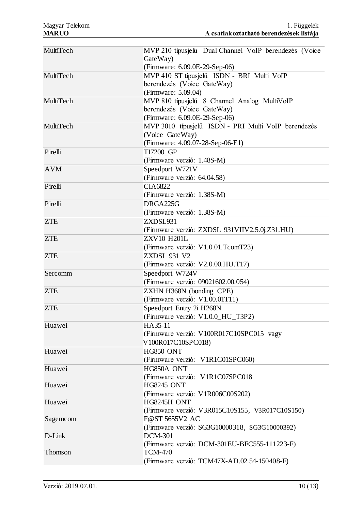| MultiTech  | MVP 210 típusjelű Dual Channel VoIP berendezés (Voice<br>GateWay)                    |
|------------|--------------------------------------------------------------------------------------|
|            | (Firmware: 6.09.0E-29-Sep-06)                                                        |
| MultiTech  | MVP 410 ST típusjelű ISDN - BRI Multi VoIP                                           |
|            | berendezés (Voice GateWay)                                                           |
|            | (Firmware: 5.09.04)                                                                  |
| MultiTech  | MVP 810 típusjelű 8 Channel Analog MultiVoIP                                         |
|            | berendezés (Voice GateWay)                                                           |
| MultiTech  | (Firmware: 6.09.0E-29-Sep-06)<br>MVP 3010 típusjelű ISDN - PRI Multi VoIP berendezés |
|            | (Voice GateWay)                                                                      |
|            | (Firmware: 4.09.07-28-Sep-06-E1)                                                     |
| Pirelli    | TI7200_GP                                                                            |
|            | (Firmware verzió: 1.48S-M)                                                           |
| <b>AVM</b> | Speedport W721V                                                                      |
|            | (Firmware verzió: 64.04.58)                                                          |
| Pirelli    | <b>CIA6822</b>                                                                       |
|            | (Firmware verzió: 1.38S-M)                                                           |
| Pirelli    | DRGA225G                                                                             |
|            | (Firmware verzió: 1.38S-M)                                                           |
| <b>ZTE</b> | ZXDSL931                                                                             |
|            | (Firmware verzió: ZXDSL 931VIIV2.5.0j.Z31.HU)                                        |
| <b>ZTE</b> | <b>ZXV10 H201L</b>                                                                   |
|            | (Firmware verzió: V1.0.01.TcomT23)                                                   |
| <b>ZTE</b> | <b>ZXDSL 931 V2</b>                                                                  |
|            | (Firmware verzió: V2.0.00.HU.T17)                                                    |
| Sercomm    | Speedport W724V                                                                      |
|            | (Firmware verzió: 09021602.00.054)                                                   |
| <b>ZTE</b> | ZXHN H368N (bonding CPE)                                                             |
|            | (Firmware verzió: V1.00.01T11)                                                       |
| <b>ZTE</b> | Speedport Entry 2i H268N                                                             |
|            | (Firmware verzió: V1.0.0_HU_T3P2)                                                    |
| Huawei     | HA35-11                                                                              |
|            | (Firmware verzió: V100R017C10SPC015 vagy<br>V100R017C10SPC018)                       |
| Huawei     | <b>HG850 ONT</b>                                                                     |
|            | (Firmware verzió: V1R1C01SPC060)                                                     |
| Huawei     | HG850A ONT                                                                           |
|            | (Firmware verzió: V1R1C07SPC018                                                      |
| Huawei     | <b>HG8245 ONT</b>                                                                    |
|            | (Firmware verzió: V1R006C00S202)                                                     |
| Huawei     | HG8245H ONT                                                                          |
|            | (Firmware verzió: V3R015C10S155, V3R017C10S150)                                      |
| Sagemon    | F@ST 5655V2 AC                                                                       |
|            | (Firmware verzió: SG3G10000318, SG3G10000392)                                        |
| D-Link     | <b>DCM-301</b>                                                                       |
|            | (Firmware verzió: DCM-301EU-BFC555-111223-F)                                         |
| Thomson    | <b>TCM-470</b>                                                                       |
|            | (Firmware verzió: TCM47X-AD.02.54-150408-F)                                          |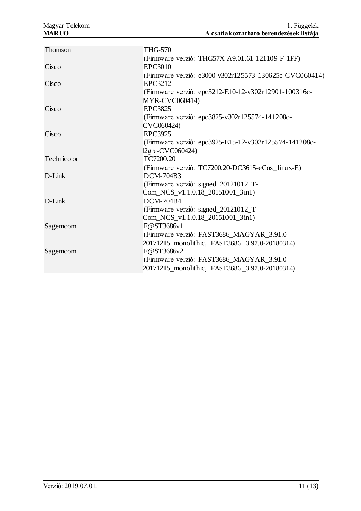| <b>THG-570</b>                                         |
|--------------------------------------------------------|
| (Firmware verzió: THG57X-A9.01.61-121109-F-1FF)        |
| <b>EPC3010</b>                                         |
| (Firmware verzió: e3000-v302r125573-130625c-CVC060414) |
| EPC3212                                                |
| (Firmware verzió: epc3212-E10-12-v302r12901-100316c-   |
| <b>MYR-CVC060414)</b>                                  |
| <b>EPC3825</b>                                         |
| (Firmware verzió: epc3825-v302r125574-141208c-         |
| CVC060424)                                             |
| <b>EPC3925</b>                                         |
| (Firmware verzió: epc3925-E15-12-v302r125574-141208c-  |
| 12gre-CVC060424)                                       |
| TC7200.20                                              |
| (Firmware verzió: TC7200.20-DC3615-eCos_linux-E)       |
| DCM-704B3                                              |
| (Firmware verzió: signed_20121012_T-                   |
| Com_NCS_v1.1.0.18_20151001_3in1)                       |
| <b>DCM-704B4</b>                                       |
| (Firmware verzió: signed_20121012_T-                   |
| Com_NCS_v1.1.0.18_20151001_3in1)                       |
| F@ST3686v1                                             |
| (Firmware verzió: FAST3686_MAGYAR_3.91.0-              |
| 20171215_monolithic, FAST3686_3.97.0-20180314)         |
| F@ST3686v2                                             |
| (Firmware verzió: FAST3686_MAGYAR_3.91.0-              |
| 20171215_monolithic, FAST3686_3.97.0-20180314)         |
|                                                        |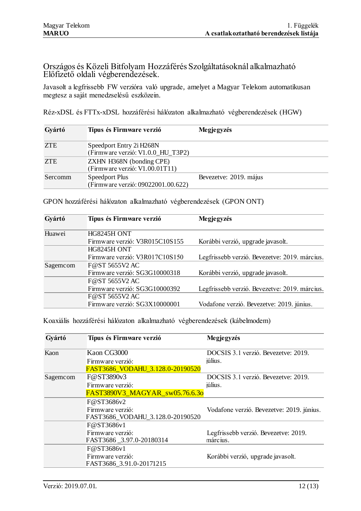Országos és Közeli Bitfolyam Hozzáférés Szolgáltatásoknál alkalmazható Előfizető oldali végberendezések.

Javasolt a legfrissebb FW verzióra való upgrade, amelyet a Magyar Telekom automatikusan megtesz a saját menedzselésű eszközein.

Réz-xDSL és FTTx-xDSL hozzáférési hálózaton alkalmazható végberendezések (HGW)

| Gyártó     | Típus és Firmware verzió                                      | Megjegyzés             |
|------------|---------------------------------------------------------------|------------------------|
| <b>ZTE</b> | Speedport Entry 2i H268N<br>(Firmware verzió: V1.0.0_HU_T3P2) |                        |
| <b>ZTE</b> | ZXHN H368N (bonding CPE)<br>(Firmware verzió: V1.00.01T11)    |                        |
| Sercomm    | Speedport Plus<br>(Firmware verzió: 09022001.00.622)          | Bevezetve: 2019. május |

| Gyártó   | Típus és Firmware verzió       | Megjegyzés                                    |
|----------|--------------------------------|-----------------------------------------------|
| Huawei   | HG8245H ONT                    |                                               |
|          | Firmware verzió: V3R015C10S155 | Korábbi verzió, upgrade javasolt.             |
|          | HG8245H ONT                    |                                               |
|          | Firmware verzió: V3R017C10S150 | Legfrissebb verzió. Bevezetve: 2019. március. |
| Sagemcom | F@ST 5655V2 AC                 |                                               |
|          | Firmware verzió: SG3G10000318  | Korábbi verzió, upgrade javasolt.             |
|          | F@ST 5655V2 AC                 |                                               |
|          | Firmware verzió: SG3G10000392  | Legfrissebb verzió. Bevezetve: 2019. március. |
|          | F@ST 5655V2 AC                 |                                               |
|          | Firmware verzió: SG3X10000001  | Vodafone verzió. Bevezetve: 2019. június.     |

GPON hozzáférési hálózaton alkalmazható végberendezések (GPON ONT)

Koaxiális hozzáférési hálózaton alkalmazható végberendezések (kábelmodem)

| Gyártó   | Típus és Firmware verzió         | Megjegyzés                                |
|----------|----------------------------------|-------------------------------------------|
| Kaon     | Kaon CG3000                      | DOCSIS 3.1 verzió. Bevezetye: 2019.       |
|          | Firmware verzió:                 | július.                                   |
|          | FAST3686_VODAHU_3.128.0-20190520 |                                           |
| Sagemcom | F@ST3890v3                       | DOCSIS 3.1 verzió. Bevezetve: 2019.       |
|          | Firmware verzió:                 | július.                                   |
|          | FAST3890V3 MAGYAR sw05.76.6.3o   |                                           |
|          | F@ST3686v2                       |                                           |
|          | Firmware verzió:                 | Vodafone verzió. Bevezetve: 2019. június. |
|          | FAST3686_VODAHU_3.128.0-20190520 |                                           |
|          | F@ST3686v1                       |                                           |
|          | Firmware verzió:                 | Legfrissebb verzió. Bevezetve: 2019.      |
|          | FAST3686_3.97.0-20180314         | március.                                  |
|          | F@ST3686v1                       |                                           |
|          | Firmware verzió:                 | Korábbi verzió, upgrade javasolt.         |
|          | FAST3686 3.91.0-20171215         |                                           |